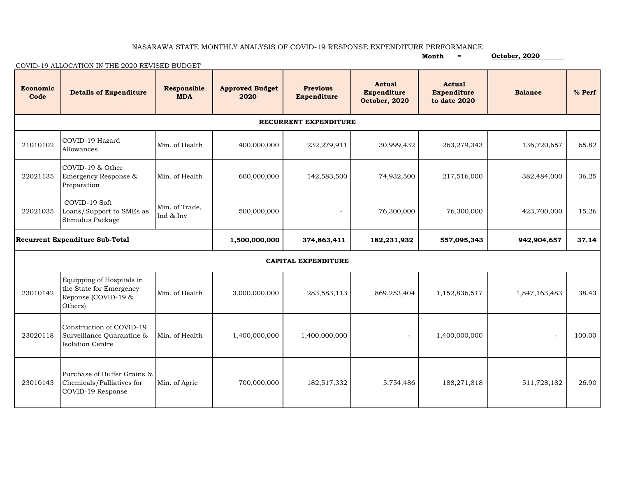## NASARAWA STATE MONTHLY ANALYSIS OF COVID-19 RESPONSE EXPENDITURE PERFORMANCE

|                                        | COVID-19 ALLOCATION IN THE 2020 REVISED BUDGET                                         |                                  |                                |                                       |                                                      | Month<br>$=$                                        | October, 2020  |          |  |  |  |  |  |
|----------------------------------------|----------------------------------------------------------------------------------------|----------------------------------|--------------------------------|---------------------------------------|------------------------------------------------------|-----------------------------------------------------|----------------|----------|--|--|--|--|--|
| Economic<br>Code                       | <b>Details of Expenditure</b>                                                          | <b>Responsible</b><br><b>MDA</b> | <b>Approved Budget</b><br>2020 | <b>Previous</b><br><b>Expenditure</b> | <b>Actual</b><br><b>Expenditure</b><br>October, 2020 | <b>Actual</b><br><b>Expenditure</b><br>to date 2020 | <b>Balance</b> | $%$ Perf |  |  |  |  |  |
| RECURRENT EXPENDITURE                  |                                                                                        |                                  |                                |                                       |                                                      |                                                     |                |          |  |  |  |  |  |
| 21010102                               | COVID-19 Hazard<br>Allowances                                                          | Min. of Health                   | 400,000,000                    | 232,279,911                           | 30,999,432                                           | 263,279,343                                         | 136,720,657    | 65.82    |  |  |  |  |  |
| 22021135                               | COVID-19 & Other<br>Emergency Response &<br>Preparation                                | Min. of Health                   | 600,000,000                    | 142,583,500                           | 74,932,500                                           | 217,516,000                                         | 382,484,000    | 36.25    |  |  |  |  |  |
| 22021035                               | COVID-19 Soft<br>Loans/Support to SMEs as<br>Stimulus Package                          | Min. of Trade.<br>Ind & Inv      | 500,000,000                    |                                       | 76,300,000                                           | 76,300,000                                          | 423,700,000    | 15.26    |  |  |  |  |  |
| <b>Recurrent Expenditure Sub-Total</b> |                                                                                        |                                  | 1,500,000,000                  | 374,863,411                           | 182,231,932                                          | 557,095,343                                         | 942,904,657    | 37.14    |  |  |  |  |  |
| <b>CAPITAL EXPENDITURE</b>             |                                                                                        |                                  |                                |                                       |                                                      |                                                     |                |          |  |  |  |  |  |
| 23010142                               | Equipping of Hospitals in<br>the State for Emergency<br>Reponse (COVID-19 &<br>Others) | Min. of Health                   | 3,000,000,000                  | 283,583,113                           | 869,253,404                                          | 1,152,836,517                                       | 1,847,163,483  | 38.43    |  |  |  |  |  |
| 23020118                               | Construction of COVID-19<br>Surveillance Quarantine &<br>Isolation Centre              | Min. of Health                   | 1,400,000,000                  | 1,400,000,000                         |                                                      | 1,400,000,000                                       | $\overline{a}$ | 100.00   |  |  |  |  |  |
| 23010143                               | Purchase of Buffer Grains &<br>Chemicals/Palliatives for<br>COVID-19 Response          | Min. of Agric                    | 700,000,000                    | 182,517,332                           | 5,754,486                                            | 188,271,818                                         | 511,728,182    | 26.90    |  |  |  |  |  |